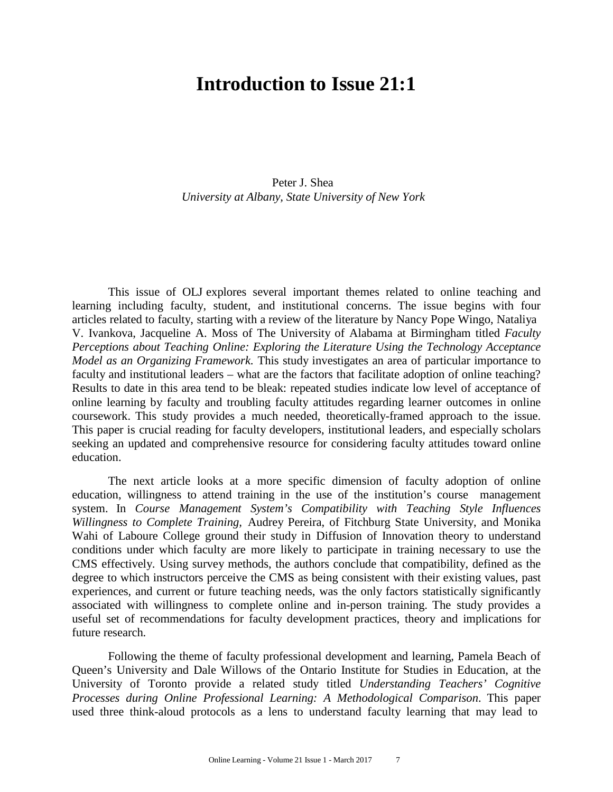## **Introduction to Issue 21:1**

Peter J. Shea *University at Albany, State University of New York*

This issue of OLJ explores several important themes related to online teaching and learning including faculty, student, and institutional concerns. The issue begins with four articles related to faculty, starting with a review of the literature by Nancy Pope Wingo, Nataliya V. Ivankova, Jacqueline A. Moss of The University of Alabama at Birmingham titled *Faculty Perceptions about Teaching Online: Exploring the Literature Using the Technology Acceptance Model as an Organizing Framework*. This study investigates an area of particular importance to faculty and institutional leaders – what are the factors that facilitate adoption of online teaching? Results to date in this area tend to be bleak: repeated studies indicate low level of acceptance of online learning by faculty and troubling faculty attitudes regarding learner outcomes in online coursework. This study provides a much needed, theoretically-framed approach to the issue. This paper is crucial reading for faculty developers, institutional leaders, and especially scholars seeking an updated and comprehensive resource for considering faculty attitudes toward online education.

The next article looks at a more specific dimension of faculty adoption of online education, willingness to attend training in the use of the institution's course management system. In *Course Management System's Compatibility with Teaching Style Influences Willingness to Complete Training,* Audrey Pereira, of Fitchburg State University, and Monika Wahi of Laboure College ground their study in Diffusion of Innovation theory to understand conditions under which faculty are more likely to participate in training necessary to use the CMS effectively. Using survey methods, the authors conclude that compatibility, defined as the degree to which instructors perceive the CMS as being consistent with their existing values, past experiences, and current or future teaching needs, was the only factors statistically significantly associated with willingness to complete online and in-person training. The study provides a useful set of recommendations for faculty development practices, theory and implications for future research.

Following the theme of faculty professional development and learning, Pamela Beach of Queen's University and Dale Willows of the Ontario Institute for Studies in Education, at the University of Toronto provide a related study titled *Understanding Teachers' Cognitive Processes during Online Professional Learning: A Methodological Comparison*. This paper used three think-aloud protocols as a lens to understand faculty learning that may lead to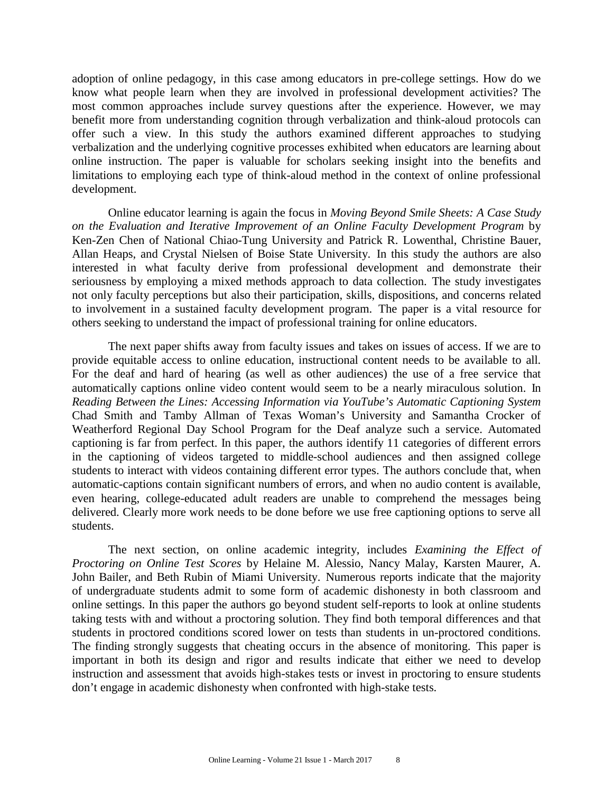adoption of online pedagogy, in this case among educators in pre-college settings. How do we know what people learn when they are involved in professional development activities? The most common approaches include survey questions after the experience. However, we may benefit more from understanding cognition through verbalization and think-aloud protocols can offer such a view. In this study the authors examined different approaches to studying verbalization and the underlying cognitive processes exhibited when educators are learning about online instruction. The paper is valuable for scholars seeking insight into the benefits and limitations to employing each type of think-aloud method in the context of online professional development.

Online educator learning is again the focus in *Moving Beyond Smile Sheets: A Case Study on the Evaluation and Iterative Improvement of an Online Faculty Development Program* by Ken-Zen Chen of National Chiao-Tung University and Patrick R. Lowenthal, Christine Bauer, Allan Heaps, and Crystal Nielsen of Boise State University. In this study the authors are also interested in what faculty derive from professional development and demonstrate their seriousness by employing a mixed methods approach to data collection. The study investigates not only faculty perceptions but also their participation, skills, dispositions, and concerns related to involvement in a sustained faculty development program. The paper is a vital resource for others seeking to understand the impact of professional training for online educators.

The next paper shifts away from faculty issues and takes on issues of access. If we are to provide equitable access to online education, instructional content needs to be available to all. For the deaf and hard of hearing (as well as other audiences) the use of a free service that automatically captions online video content would seem to be a nearly miraculous solution. In *Reading Between the Lines: Accessing Information via YouTube's Automatic Captioning System* Chad Smith and Tamby Allman of Texas Woman's University and Samantha Crocker of Weatherford Regional Day School Program for the Deaf analyze such a service. Automated captioning is far from perfect. In this paper, the authors identify 11 categories of different errors in the captioning of videos targeted to middle-school audiences and then assigned college students to interact with videos containing different error types. The authors conclude that, when automatic-captions contain significant numbers of errors, and when no audio content is available, even hearing, college-educated adult readers are unable to comprehend the messages being delivered. Clearly more work needs to be done before we use free captioning options to serve all students.

The next section, on online academic integrity, includes *Examining the Effect of Proctoring on Online Test Scores* by Helaine M. Alessio, Nancy Malay, Karsten Maurer, A. John Bailer, and Beth Rubin of Miami University. Numerous reports indicate that the majority of undergraduate students admit to some form of academic dishonesty in both classroom and online settings. In this paper the authors go beyond student self-reports to look at online students taking tests with and without a proctoring solution. They find both temporal differences and that students in proctored conditions scored lower on tests than students in un-proctored conditions. The finding strongly suggests that cheating occurs in the absence of monitoring. This paper is important in both its design and rigor and results indicate that either we need to develop instruction and assessment that avoids high-stakes tests or invest in proctoring to ensure students don't engage in academic dishonesty when confronted with high-stake tests.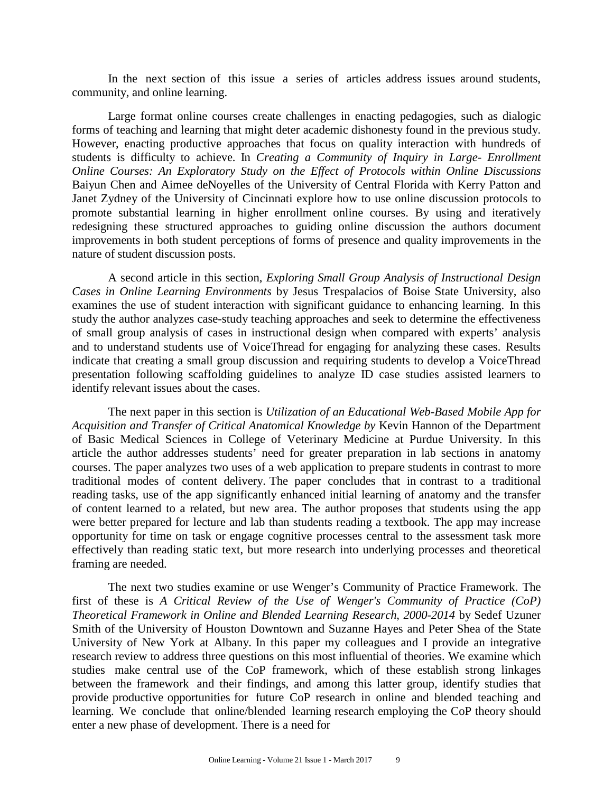In the next section of this issue a series of articles address issues around students, community, and online learning.

Large format online courses create challenges in enacting pedagogies, such as dialogic forms of teaching and learning that might deter academic dishonesty found in the previous study. However, enacting productive approaches that focus on quality interaction with hundreds of students is difficulty to achieve. In *Creating a Community of Inquiry in Large- Enrollment Online Courses: An Exploratory Study on the Effect of Protocols within Online Discussions* Baiyun Chen and Aimee deNoyelles of the University of Central Florida with Kerry Patton and Janet Zydney of the University of Cincinnati explore how to use online discussion protocols to promote substantial learning in higher enrollment online courses. By using and iteratively redesigning these structured approaches to guiding online discussion the authors document improvements in both student perceptions of forms of presence and quality improvements in the nature of student discussion posts.

A second article in this section, *Exploring Small Group Analysis of Instructional Design Cases in Online Learning Environments* by Jesus Trespalacios of Boise State University, also examines the use of student interaction with significant guidance to enhancing learning. In this study the author analyzes case-study teaching approaches and seek to determine the effectiveness of small group analysis of cases in instructional design when compared with experts' analysis and to understand students use of VoiceThread for engaging for analyzing these cases. Results indicate that creating a small group discussion and requiring students to develop a VoiceThread presentation following scaffolding guidelines to analyze ID case studies assisted learners to identify relevant issues about the cases.

The next paper in this section is *Utilization of an Educational Web-Based Mobile App for Acquisition and Transfer of Critical Anatomical Knowledge by* Kevin Hannon of the Department of Basic Medical Sciences in College of Veterinary Medicine at Purdue University. In this article the author addresses students' need for greater preparation in lab sections in anatomy courses. The paper analyzes two uses of a web application to prepare students in contrast to more traditional modes of content delivery. The paper concludes that in contrast to a traditional reading tasks, use of the app significantly enhanced initial learning of anatomy and the transfer of content learned to a related, but new area. The author proposes that students using the app were better prepared for lecture and lab than students reading a textbook. The app may increase opportunity for time on task or engage cognitive processes central to the assessment task more effectively than reading static text, but more research into underlying processes and theoretical framing are needed.

The next two studies examine or use Wenger's Community of Practice Framework. The first of these is *A Critical Review of the Use of Wenger's Community of Practice (CoP) Theoretical Framework in Online and Blended Learning Research*, *2000-2014* by Sedef Uzuner Smith of the University of Houston Downtown and Suzanne Hayes and Peter Shea of the State University of New York at Albany. In this paper my colleagues and I provide an integrative research review to address three questions on this most influential of theories. We examine which studies make central use of the CoP framework, which of these establish strong linkages between the framework and their findings, and among this latter group, identify studies that provide productive opportunities for future CoP research in online and blended teaching and learning. We conclude that online/blended learning research employing the CoP theory should enter a new phase of development. There is a need for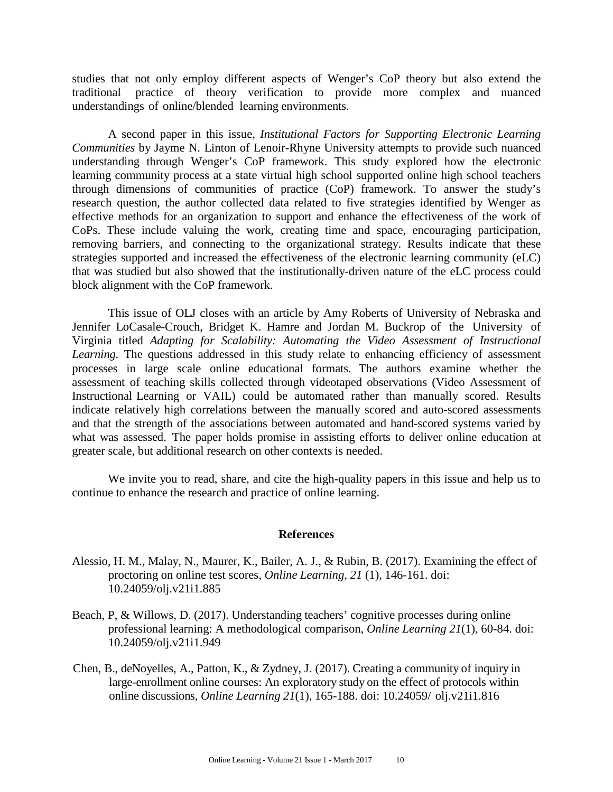studies that not only employ different aspects of Wenger's CoP theory but also extend the traditional practice of theory verification to provide more complex and nuanced understandings of online/blended learning environments.

A second paper in this issue, *Institutional Factors for Supporting Electronic Learning Communities* by Jayme N. Linton of Lenoir-Rhyne University attempts to provide such nuanced understanding through Wenger's CoP framework. This study explored how the electronic learning community process at a state virtual high school supported online high school teachers through dimensions of communities of practice (CoP) framework. To answer the study's research question, the author collected data related to five strategies identified by Wenger as effective methods for an organization to support and enhance the effectiveness of the work of CoPs. These include valuing the work, creating time and space, encouraging participation, removing barriers, and connecting to the organizational strategy. Results indicate that these strategies supported and increased the effectiveness of the electronic learning community (eLC) that was studied but also showed that the institutionally-driven nature of the eLC process could block alignment with the CoP framework.

This issue of OLJ closes with an article by Amy Roberts of University of Nebraska and Jennifer LoCasale-Crouch, Bridget K. Hamre and Jordan M. Buckrop of the University of Virginia titled *Adapting for Scalability: Automating the Video Assessment of Instructional Learning.* The questions addressed in this study relate to enhancing efficiency of assessment processes in large scale online educational formats. The authors examine whether the assessment of teaching skills collected through videotaped observations (Video Assessment of Instructional Learning or VAIL) could be automated rather than manually scored. Results indicate relatively high correlations between the manually scored and auto-scored assessments and that the strength of the associations between automated and hand-scored systems varied by what was assessed. The paper holds promise in assisting efforts to deliver online education at greater scale, but additional research on other contexts is needed.

We invite you to read, share, and cite the high-quality papers in this issue and help us to continue to enhance the research and practice of online learning.

## **References**

- Alessio, H. M., Malay, N., Maurer, K., Bailer, A. J., & Rubin, B. (2017). Examining the effect of proctoring on online test scores, *Online Learning, 21* (1), 146-161. doi: 10.24059/olj.v21i1.885
- Beach, P, & Willows, D. (2017). Understanding teachers' cognitive processes during online professional learning: A methodological comparison, *Online Learning 21*(1), 60-84. doi: 10.24059/olj.v21i1.949
- Chen, B., deNoyelles, A., Patton, K., & Zydney, J. (2017). Creating a community of inquiry in large-enrollment online courses: An exploratory study on the effect of protocols within online discussions, *Online Learning 21*(1), 165-188. doi: 10.24059/ olj.v21i1.816